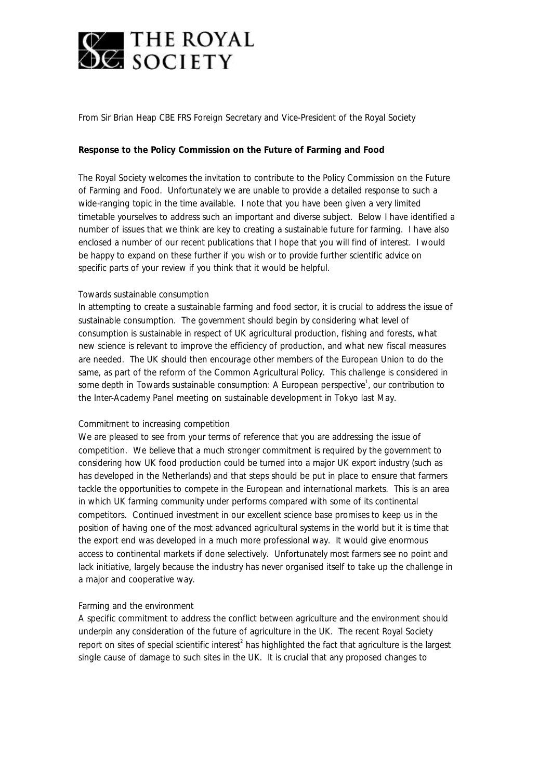

# *From Sir Brian Heap CBE FRS Foreign Secretary and Vice-President of the Royal Society*

# **Response to the Policy Commission on the Future of Farming and Food**

The Royal Society welcomes the invitation to contribute to the Policy Commission on the Future of Farming and Food. Unfortunately we are unable to provide a detailed response to such a wide-ranging topic in the time available. I note that you have been given a very limited timetable yourselves to address such an important and diverse subject. Below I have identified a number of issues that we think are key to creating a sustainable future for farming. I have also enclosed a number of our recent publications that I hope that you will find of interest. I would be happy to expand on these further if you wish or to provide further scientific advice on specific parts of your review if you think that it would be helpful.

## *Towards sustainable consumption*

In attempting to create a sustainable farming and food sector, it is crucial to address the issue of sustainable consumption. The government should begin by considering what level of consumption is sustainable in respect of UK agricultural production, fishing and forests, what new science is relevant to improve the efficiency of production, and what new fiscal measures are needed. The UK should then encourage other members of the European Union to do the same, as part of the reform of the Common Agricultural Policy. This challenge is considered in some depth in *Towards sustainable consumption: A European perspective*<sup>1</sup>, our contribution to the Inter-Academy Panel meeting on sustainable development in Tokyo last May.

## *Commitment to increasing competition*

We are pleased to see from your terms of reference that you are addressing the issue of competition. We believe that a much stronger commitment is required by the government to considering how UK food production could be turned into a major UK export industry (such as has developed in the Netherlands) and that steps should be put in place to ensure that farmers tackle the opportunities to compete in the European and international markets. This is an area in which UK farming community under performs compared with some of its continental competitors. Continued investment in our excellent science base promises to keep us in the position of having one of the most advanced agricultural systems in the world but it is time that the export end was developed in a much more professional way. It would give enormous access to continental markets if done selectively. Unfortunately most farmers see no point and lack initiative, largely because the industry has never organised itself to take up the challenge in a major and cooperative way.

## *Farming and the environment*

A specific commitment to address the conflict between agriculture and the environment should underpin any consideration of the future of agriculture in the UK. The recent Royal Society report on sites of special scientific interest<sup>2</sup> has highlighted the fact that agriculture is the largest single cause of damage to such sites in the UK. It is crucial that any proposed changes to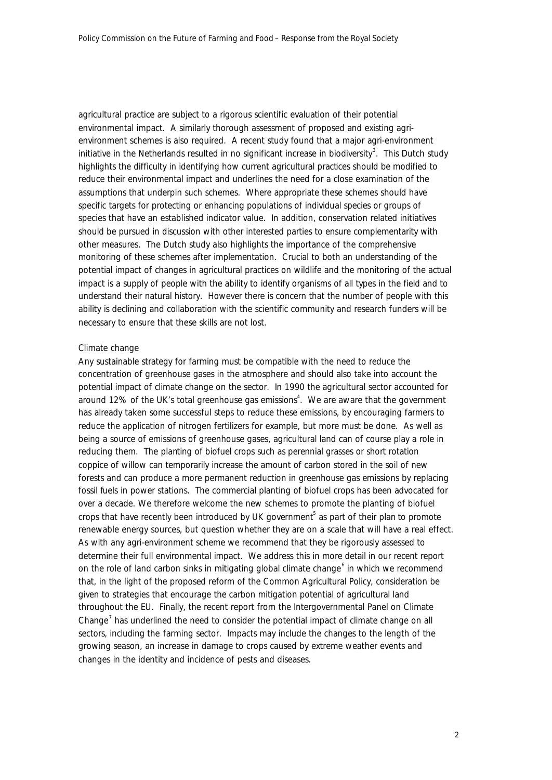agricultural practice are subject to a rigorous scientific evaluation of their potential environmental impact. A similarly thorough assessment of proposed and existing agrienvironment schemes is also required. A recent study found that a major agri-environment initiative in the Netherlands resulted in no significant increase in biodiversity<sup>3</sup>. This Dutch study highlights the difficulty in identifying how current agricultural practices should be modified to reduce their environmental impact and underlines the need for a close examination of the assumptions that underpin such schemes. Where appropriate these schemes should have specific targets for protecting or enhancing populations of individual species or groups of species that have an established indicator value. In addition, conservation related initiatives should be pursued in discussion with other interested parties to ensure complementarity with other measures. The Dutch study also highlights the importance of the comprehensive monitoring of these schemes after implementation. Crucial to both an understanding of the potential impact of changes in agricultural practices on wildlife and the monitoring of the actual impact is a supply of people with the ability to identify organisms of all types in the field and to understand their natural history. However there is concern that the number of people with this ability is declining and collaboration with the scientific community and research funders will be necessary to ensure that these skills are not lost.

### *Climate change*

Any sustainable strategy for farming must be compatible with the need to reduce the concentration of greenhouse gases in the atmosphere and should also take into account the potential impact of climate change on the sector. In 1990 the agricultural sector accounted for around 12% of the UK's total greenhouse gas emissions<sup>4</sup>. We are aware that the government has already taken some successful steps to reduce these emissions, by encouraging farmers to reduce the application of nitrogen fertilizers for example, but more must be done. As well as being a source of emissions of greenhouse gases, agricultural land can of course play a role in reducing them. The planting of biofuel crops such as perennial grasses or short rotation coppice of willow can temporarily increase the amount of carbon stored in the soil of new forests and can produce a more permanent reduction in greenhouse gas emissions by replacing fossil fuels in power stations. The commercial planting of biofuel crops has been advocated for over a decade. We therefore welcome the new schemes to promote the planting of biofuel crops that have recently been introduced by UK government<sup>5</sup> as part of their plan to promote renewable energy sources, but question whether they are on a scale that will have a real effect. As with any agri-environment scheme we recommend that they be rigorously assessed to determine their full environmental impact. We address this in more detail in our recent report on the role of land carbon sinks in mitigating global climate change<sup>6</sup> in which we recommend that, in the light of the proposed reform of the Common Agricultural Policy, consideration be given to strategies that encourage the carbon mitigation potential of agricultural land throughout the EU. Finally, the recent report from the Intergovernmental Panel on Climate Change<sup>7</sup> has underlined the need to consider the potential impact of climate change on all sectors, including the farming sector. Impacts may include the changes to the length of the growing season, an increase in damage to crops caused by extreme weather events and changes in the identity and incidence of pests and diseases.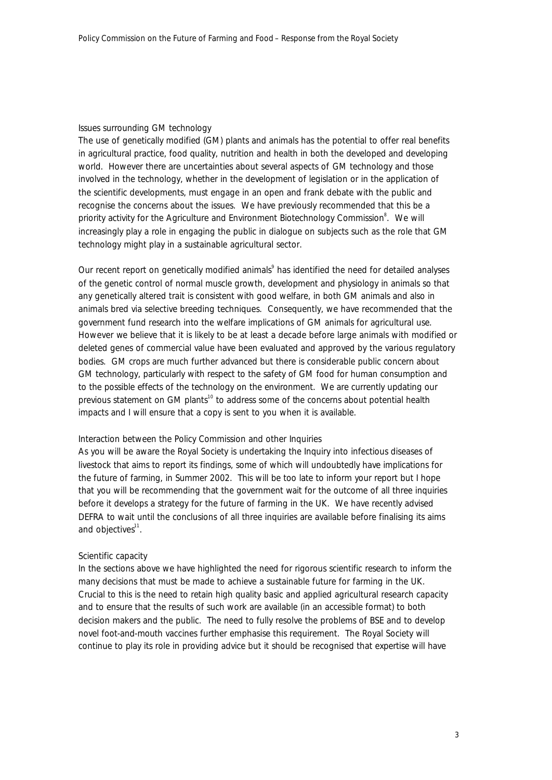#### *Issues surrounding GM technology*

The use of genetically modified (GM) plants and animals has the potential to offer real benefits in agricultural practice, food quality, nutrition and health in both the developed and developing world. However there are uncertainties about several aspects of GM technology and those involved in the technology, whether in the development of legislation or in the application of the scientific developments, must engage in an open and frank debate with the public and recognise the concerns about the issues. We have previously recommended that this be a priority activity for the Agriculture and Environment Biotechnology Commission<sup>8</sup>. We will increasingly play a role in engaging the public in dialogue on subjects such as the role that GM technology might play in a sustainable agricultural sector.

Our recent report on genetically modified animals $\degree$  has identified the need for detailed analyses of the genetic control of normal muscle growth, development and physiology in animals so that any genetically altered trait is consistent with good welfare, in both GM animals and also in animals bred via selective breeding techniques. Consequently, we have recommended that the government fund research into the welfare implications of GM animals for agricultural use. However we believe that it is likely to be at least a decade before large animals with modified or deleted genes of commercial value have been evaluated and approved by the various regulatory bodies. GM crops are much further advanced but there is considerable public concern about GM technology, particularly with respect to the safety of GM food for human consumption and to the possible effects of the technology on the environment. We are currently updating our previous statement on GM plants<sup>10</sup> to address some of the concerns about potential health impacts and I will ensure that a copy is sent to you when it is available.

#### *Interaction between the Policy Commission and other Inquiries*

As you will be aware the Royal Society is undertaking the Inquiry into infectious diseases of livestock that aims to report its findings, some of which will undoubtedly have implications for the future of farming, in Summer 2002. This will be too late to inform your report but I hope that you will be recommending that the government wait for the outcome of all three inquiries before it develops a strategy for the future of farming in the UK. We have recently advised DEFRA to wait until the conclusions of all three inquiries are available before finalising its aims and objectives<sup>11</sup>.

#### *Scientific capacity*

In the sections above we have highlighted the need for rigorous scientific research to inform the many decisions that must be made to achieve a sustainable future for farming in the UK. Crucial to this is the need to retain high quality basic and applied agricultural research capacity and to ensure that the results of such work are available (in an accessible format) to both decision makers and the public. The need to fully resolve the problems of BSE and to develop novel foot-and-mouth vaccines further emphasise this requirement. The Royal Society will continue to play its role in providing advice but it should be recognised that expertise will have